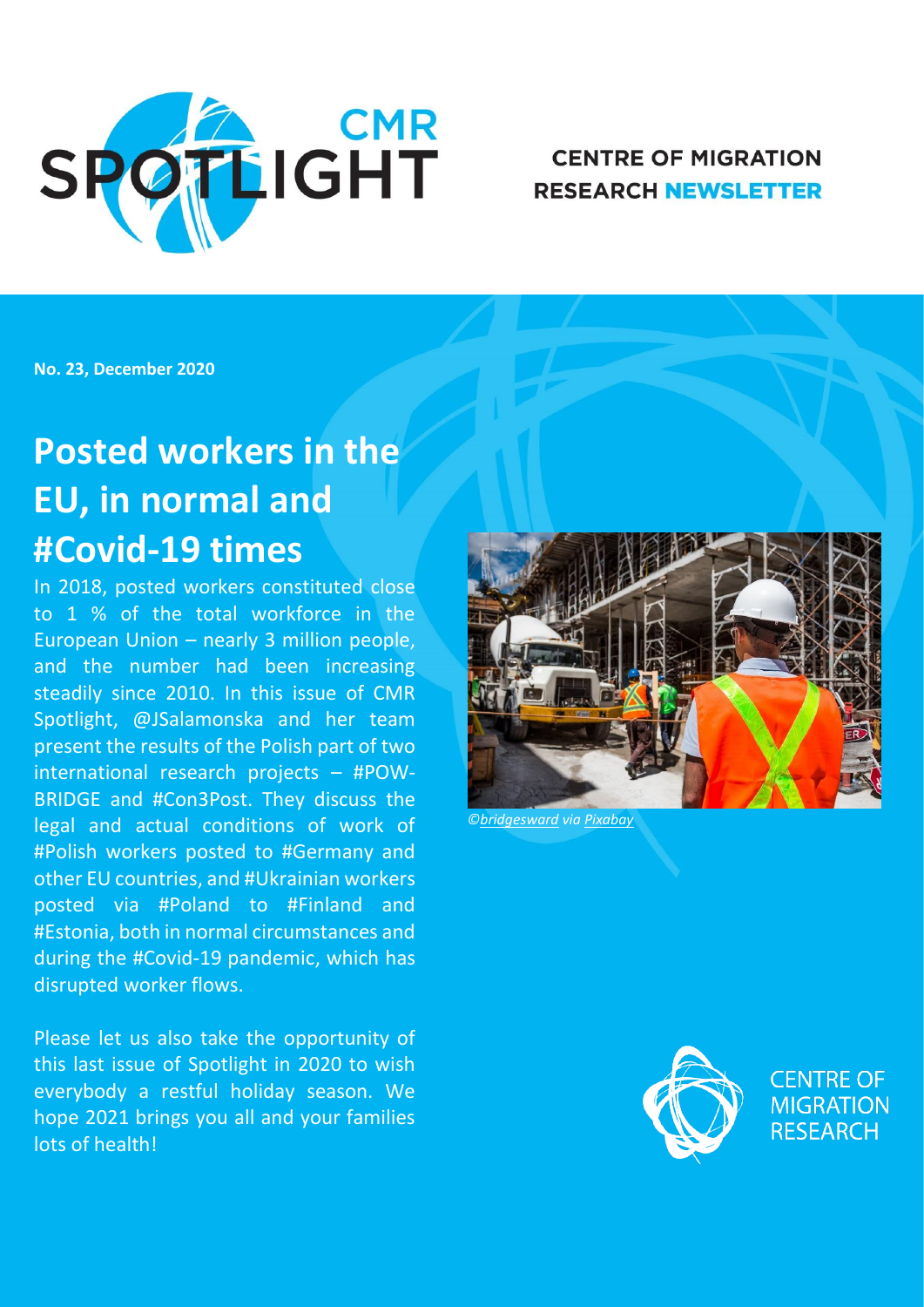

## **CENTRE OF MIGRATION RESEARCH NEWSLETTER**

**No. 23, December 2020**

# **Posted workers in the EU, in normal and #Covid-19 times**

In 2018, posted workers constituted close to 1 % of the total workforce in the European Union – nearly 3 million people, and the number had been increasing steadily since 2010. In this issue of CMR Spotlight, @JSalamonska and her team present the results of the Polish part of two international research projects – #POW-BRIDGE and #Con3Post. They discuss the legal and actual conditions of work of #Polish workers posted to #Germany and other EU countries, and #Ukrainian workers posted via #Poland to #Finland and #Estonia, both in normal circumstances and during the #Covid-19 pandemic, which has disrupted worker flows.

Please let us also take the opportunity of this last issue of Spotlight in 2020 to wish everybody a restful holiday season. We hope 2021 brings you all and your families lots of health!



*©[bridgesward](https://pixabay.com/pl/users/bridgesward-6083077/?utm_source=link-attribution&utm_medium=referral&utm_campaign=image&utm_content=2578410) via [Pixabay](https://pixabay.com/pl/?utm_source=link-attribution&utm_medium=referral&utm_campaign=image&utm_content=2578410)*

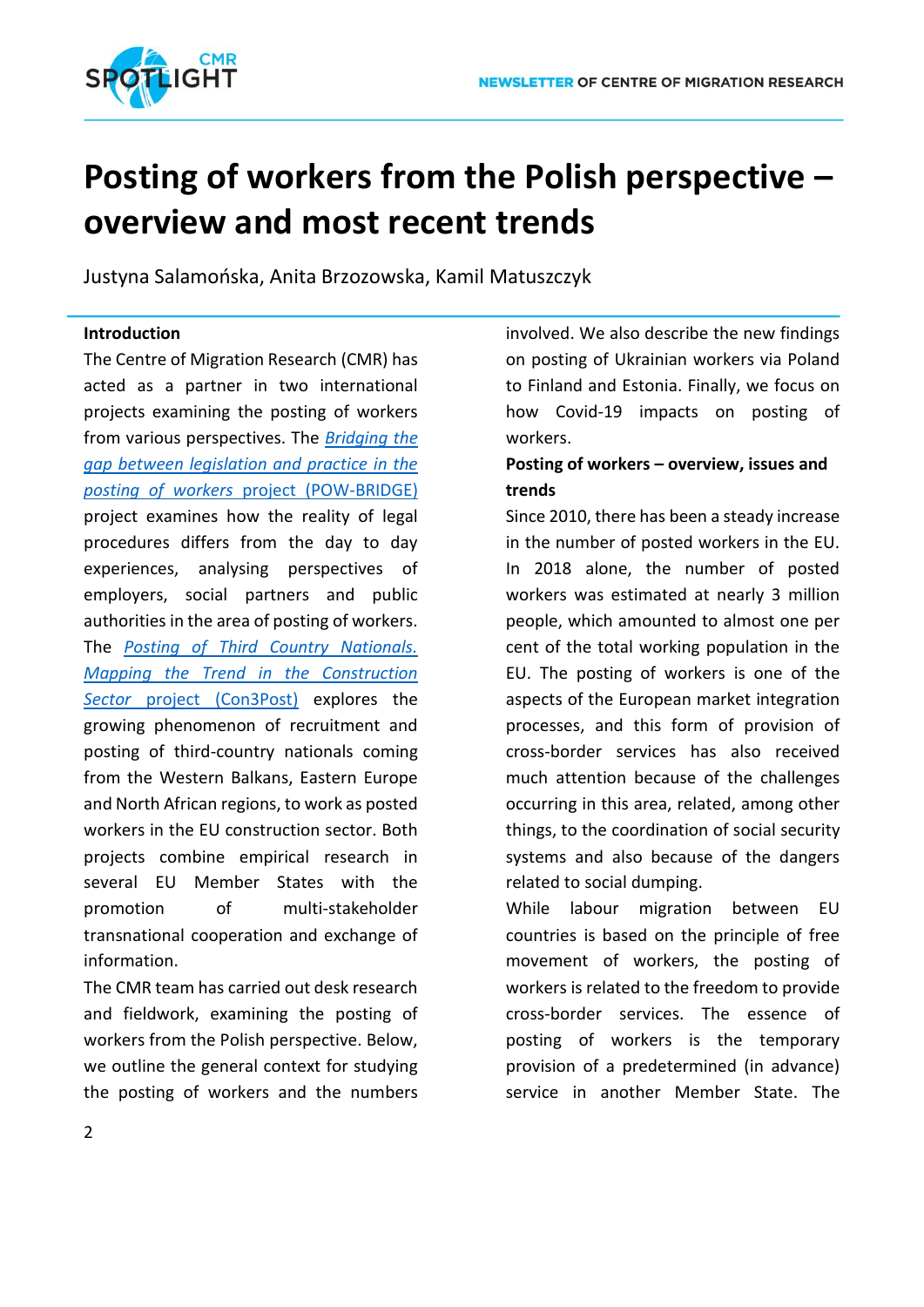

## **Posting of workers from the Polish perspective – overview and most recent trends**

Justyna Salamońska, Anita Brzozowska, Kamil Matuszczyk

### **Introduction**

The Centre of Migration Research (CMR) has acted as a partner in two international projects examining the posting of workers from various perspectives. The *[Bridging the](http://www.migracje.uw.edu.pl/projects/bridging-the-gap-between-legislation-and-practice-in-the-posting-of-workers-pow-bridge/)  [gap between legislation and practice in the](http://www.migracje.uw.edu.pl/projects/bridging-the-gap-between-legislation-and-practice-in-the-posting-of-workers-pow-bridge/)  posting of workers* [project \(POW-BRIDGE\)](http://www.migracje.uw.edu.pl/projects/bridging-the-gap-between-legislation-and-practice-in-the-posting-of-workers-pow-bridge/) project examines how the reality of legal procedures differs from the day to day experiences, analysing perspectives of employers, social partners and public authorities in the area of posting of workers. The *[Posting of Third Country Nationals.](http://www.migracje.uw.edu.pl/projects/con3post-posting-of-third-country-nationals-mapping-the-trend-in-the-construction-sector/)  [Mapping the Trend in the Construction](http://www.migracje.uw.edu.pl/projects/con3post-posting-of-third-country-nationals-mapping-the-trend-in-the-construction-sector/)  Sector* [project \(Con3Post\)](http://www.migracje.uw.edu.pl/projects/con3post-posting-of-third-country-nationals-mapping-the-trend-in-the-construction-sector/) explores the growing phenomenon of recruitment and posting of third-country nationals coming from the Western Balkans, Eastern Europe and North African regions, to work as posted workers in the EU construction sector. Both projects combine empirical research in several EU Member States with the promotion of multi-stakeholder transnational cooperation and exchange of information.

The CMR team has carried out desk research and fieldwork, examining the posting of workers from the Polish perspective. Below, we outline the general context for studying the posting of workers and the numbers

involved. We also describe the new findings on posting of Ukrainian workers via Poland to Finland and Estonia. Finally, we focus on how Covid-19 impacts on posting of workers.

## **Posting of workers – overview, issues and trends**

Since 2010, there has been a steady increase in the number of posted workers in the EU. In 2018 alone, the number of posted workers was estimated at nearly 3 million people, which amounted to almost one per cent of the total working population in the EU. The posting of workers is one of the aspects of the European market integration processes, and this form of provision of cross-border services has also received much attention because of the challenges occurring in this area, related, among other things, to the coordination of social security systems and also because of the dangers related to social dumping.

While labour migration between EU countries is based on the principle of free movement of workers, the posting of workers is related to the freedom to provide cross-border services. The essence of posting of workers is the temporary provision of a predetermined (in advance) service in another Member State. The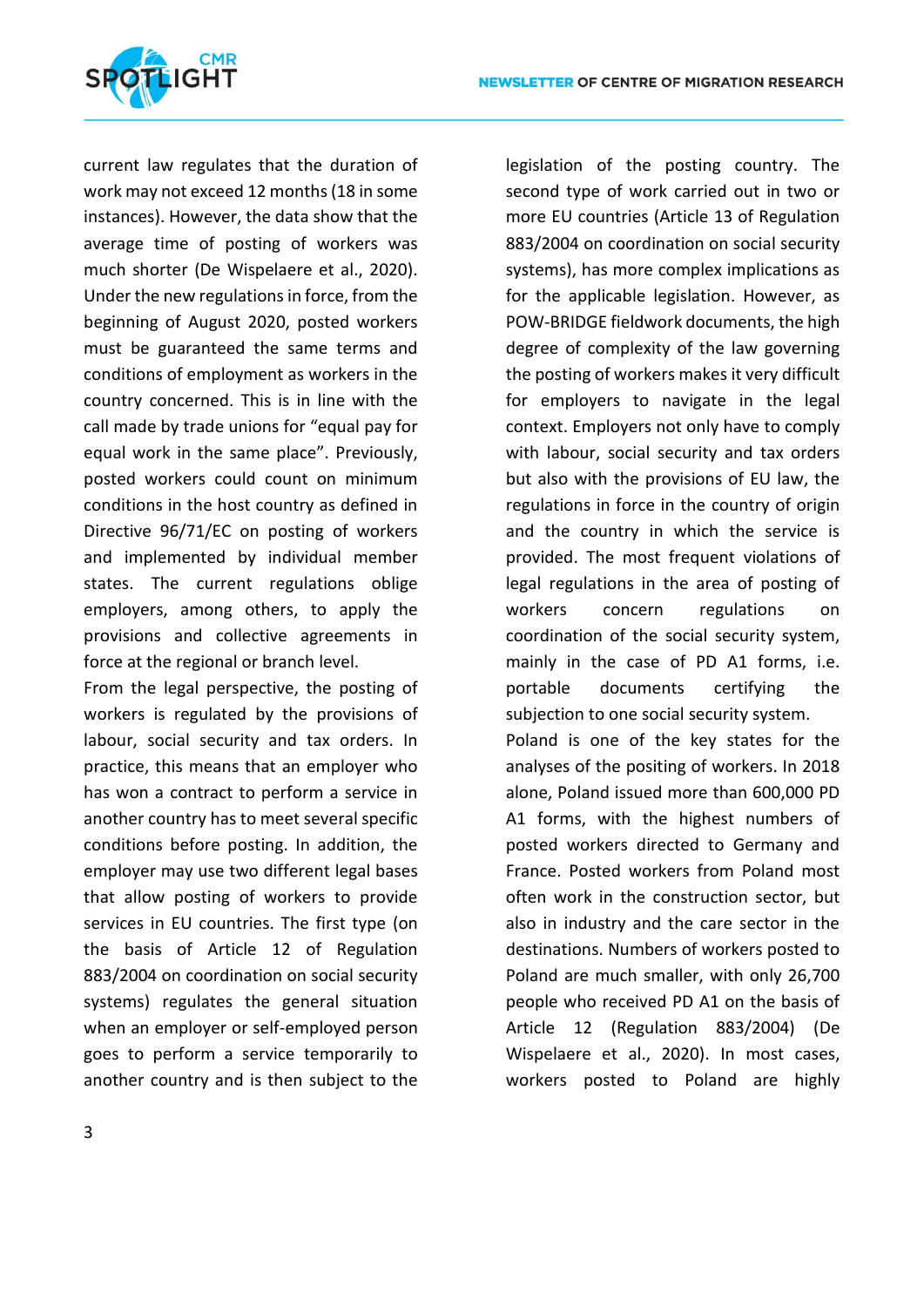

current law regulates that the duration of work may not exceed 12 months (18 in some instances). However, the data show that the average time of posting of workers was much shorter (De Wispelaere et al., 2020). Under the new regulations in force, from the beginning of August 2020, posted workers must be guaranteed the same terms and conditions of employment as workers in the country concerned. This is in line with the call made by trade unions for "equal pay for equal work in the same place". Previously, posted workers could count on minimum conditions in the host country as defined in Directive 96/71/EC on posting of workers and implemented by individual member states. The current regulations oblige employers, among others, to apply the provisions and collective agreements in force at the regional or branch level.

From the legal perspective, the posting of workers is regulated by the provisions of labour, social security and tax orders. In practice, this means that an employer who has won a contract to perform a service in another country has to meet several specific conditions before posting. In addition, the employer may use two different legal bases that allow posting of workers to provide services in EU countries. The first type (on the basis of Article 12 of Regulation 883/2004 on coordination on social security systems) regulates the general situation when an employer or self-employed person goes to perform a service temporarily to another country and is then subject to the

legislation of the posting country. The second type of work carried out in two or more EU countries (Article 13 of Regulation 883/2004 on coordination on social security systems), has more complex implications as for the applicable legislation. However, as POW-BRIDGE fieldwork documents, the high degree of complexity of the law governing the posting of workers makes it very difficult for employers to navigate in the legal context. Employers not only have to comply with labour, social security and tax orders but also with the provisions of EU law, the regulations in force in the country of origin and the country in which the service is provided. The most frequent violations of legal regulations in the area of posting of workers concern regulations on coordination of the social security system, mainly in the case of PD A1 forms, i.e. portable documents certifying the subjection to one social security system.

Poland is one of the key states for the analyses of the positing of workers. In 2018 alone, Poland issued more than 600,000 PD A1 forms, with the highest numbers of posted workers directed to Germany and France. Posted workers from Poland most often work in the construction sector, but also in industry and the care sector in the destinations. Numbers of workers posted to Poland are much smaller, with only 26,700 people who received PD A1 on the basis of Article 12 (Regulation 883/2004) (De Wispelaere et al., 2020). In most cases, workers posted to Poland are highly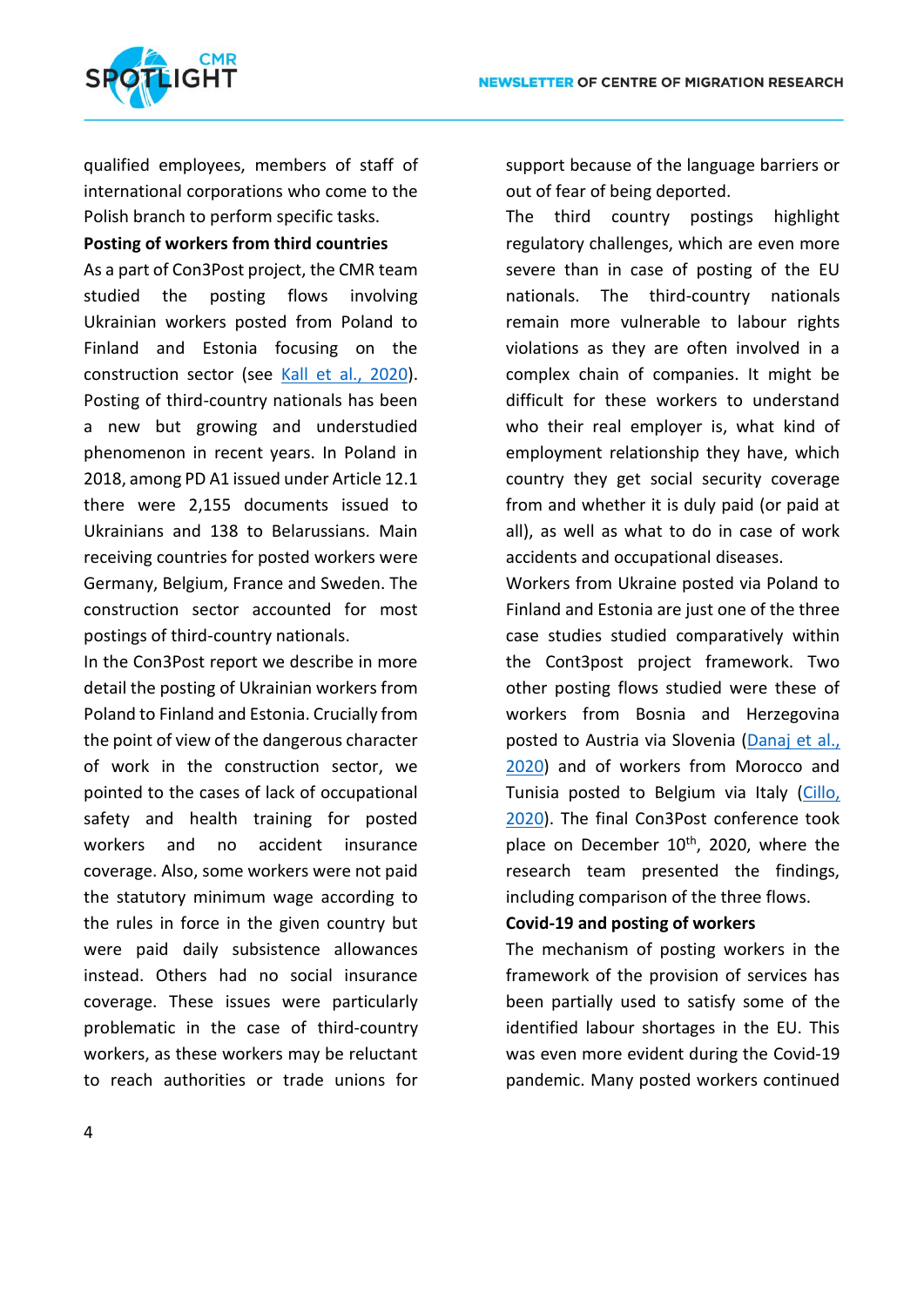

qualified employees, members of staff of international corporations who come to the Polish branch to perform specific tasks.

**Posting of workers from third countries**

As a part of Con3Post project, the CMR team studied the posting flows involving Ukrainian workers posted from Poland to Finland and Estonia focusing on the construction sector (see [Kall et al., 2020\)](http://www.migracje.uw.edu.pl/wp-content/uploads/2020/07/Con3Post_U_PL-FI-ET_final-1.pdf). Posting of third-country nationals has been a new but growing and understudied phenomenon in recent years. In Poland in 2018, among PD A1 issued under Article 12.1 there were 2,155 documents issued to Ukrainians and 138 to Belarussians. Main receiving countries for posted workers were Germany, Belgium, France and Sweden. The construction sector accounted for most postings of third-country nationals.

In the Con3Post report we describe in more detail the posting of Ukrainian workers from Poland to Finland and Estonia. Crucially from the point of view of the dangerous character of work in the construction sector, we pointed to the cases of lack of occupational safety and health training for posted workers and no accident insurance coverage. Also, some workers were not paid the statutory minimum wage according to the rules in force in the given country but were paid daily subsistence allowances instead. Others had no social insurance coverage. These issues were particularly problematic in the case of third-country workers, as these workers may be reluctant to reach authorities or trade unions for

support because of the language barriers or out of fear of being deported.

The third country postings highlight regulatory challenges, which are even more severe than in case of posting of the EU nationals. The third-country nationals remain more vulnerable to labour rights violations as they are often involved in a complex chain of companies. It might be difficult for these workers to understand who their real employer is, what kind of employment relationship they have, which country they get social security coverage from and whether it is duly paid (or paid at all), as well as what to do in case of work accidents and occupational diseases.

Workers from Ukraine posted via Poland to Finland and Estonia are just one of the three case studies studied comparatively within the Cont3post project framework. Two other posting flows studied were these of workers from Bosnia and Herzegovina posted to Austria via Slovenia [\(Danaj et al.,](http://www.migracje.uw.edu.pl/wp-content/uploads/2020/07/Con3Post_Regional-case-studyATSIBIH__published_09072020.pdf)  [2020\)](http://www.migracje.uw.edu.pl/wp-content/uploads/2020/07/Con3Post_Regional-case-studyATSIBIH__published_09072020.pdf) and of workers from Morocco and Tunisia posted to Belgium via Italy [\(Cillo,](http://www.migracje.uw.edu.pl/wp-content/uploads/2020/07/Con3Post_Regional-case-study-template-NA-IT-BE-2-mod.pdf)  [2020\)](http://www.migracje.uw.edu.pl/wp-content/uploads/2020/07/Con3Post_Regional-case-study-template-NA-IT-BE-2-mod.pdf). The final Con3Post conference took place on December  $10<sup>th</sup>$ , 2020, where the research team presented the findings, including comparison of the three flows.

### **Covid-19 and posting of workers**

The mechanism of posting workers in the framework of the provision of services has been partially used to satisfy some of the identified labour shortages in the EU. This was even more evident during the Covid-19 pandemic. Many posted workers continued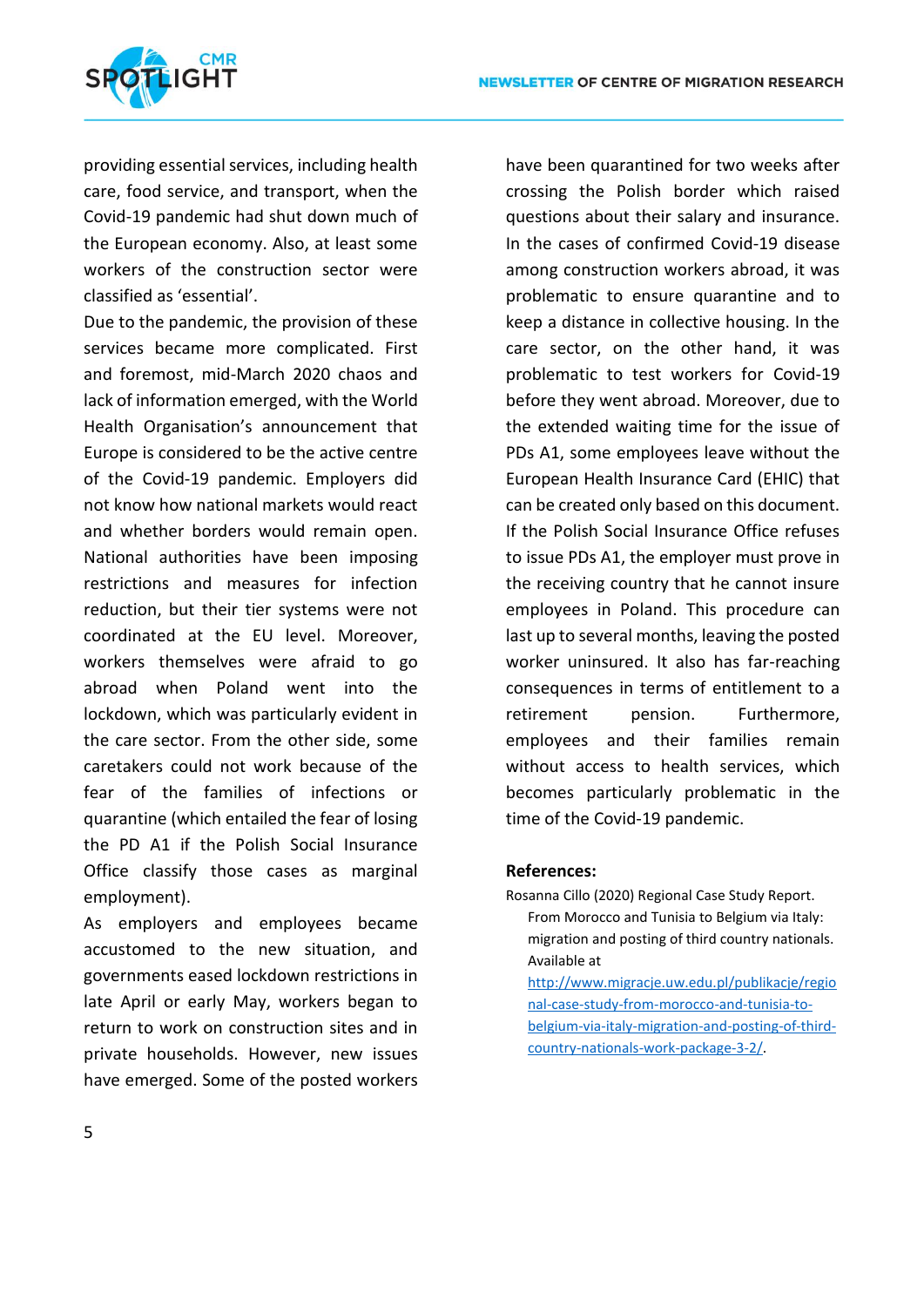

providing essential services, including health care, food service, and transport, when the Covid-19 pandemic had shut down much of the European economy. Also, at least some workers of the construction sector were classified as 'essential'.

Due to the pandemic, the provision of these services became more complicated. First and foremost, mid-March 2020 chaos and lack of information emerged, with the World Health Organisation's announcement that Europe is considered to be the active centre of the Covid-19 pandemic. Employers did not know how national markets would react and whether borders would remain open. National authorities have been imposing restrictions and measures for infection reduction, but their tier systems were not coordinated at the EU level. Moreover, workers themselves were afraid to go abroad when Poland went into the lockdown, which was particularly evident in the care sector. From the other side, some caretakers could not work because of the fear of the families of infections or quarantine (which entailed the fear of losing the PD A1 if the Polish Social Insurance Office classify those cases as marginal employment).

As employers and employees became accustomed to the new situation, and governments eased lockdown restrictions in late April or early May, workers began to return to work on construction sites and in private households. However, new issues have emerged. Some of the posted workers

have been quarantined for two weeks after crossing the Polish border which raised questions about their salary and insurance. In the cases of confirmed Covid-19 disease among construction workers abroad, it was problematic to ensure quarantine and to keep a distance in collective housing. In the care sector, on the other hand, it was problematic to test workers for Covid-19 before they went abroad. Moreover, due to the extended waiting time for the issue of PDs A1, some employees leave without the European Health Insurance Card (EHIC) that can be created only based on this document. If the Polish Social Insurance Office refuses to issue PDs A1, the employer must prove in the receiving country that he cannot insure employees in Poland. This procedure can last up to several months, leaving the posted worker uninsured. It also has far-reaching consequences in terms of entitlement to a retirement pension. Furthermore, employees and their families remain without access to health services, which becomes particularly problematic in the time of the Covid-19 pandemic.

#### **References:**

Rosanna Cillo (2020) Regional Case Study Report. From Morocco and Tunisia to Belgium via Italy: migration and posting of third country nationals. Available at

[http://www.migracje.uw.edu.pl/publikacje/regio](http://www.migracje.uw.edu.pl/publikacje/regional-case-study-from-morocco-and-tunisia-to-belgium-via-italy-migration-and-posting-of-third-country-nationals-work-package-3-2/) [nal-case-study-from-morocco-and-tunisia-to](http://www.migracje.uw.edu.pl/publikacje/regional-case-study-from-morocco-and-tunisia-to-belgium-via-italy-migration-and-posting-of-third-country-nationals-work-package-3-2/)[belgium-via-italy-migration-and-posting-of-third](http://www.migracje.uw.edu.pl/publikacje/regional-case-study-from-morocco-and-tunisia-to-belgium-via-italy-migration-and-posting-of-third-country-nationals-work-package-3-2/)[country-nationals-work-package-3-2/.](http://www.migracje.uw.edu.pl/publikacje/regional-case-study-from-morocco-and-tunisia-to-belgium-via-italy-migration-and-posting-of-third-country-nationals-work-package-3-2/)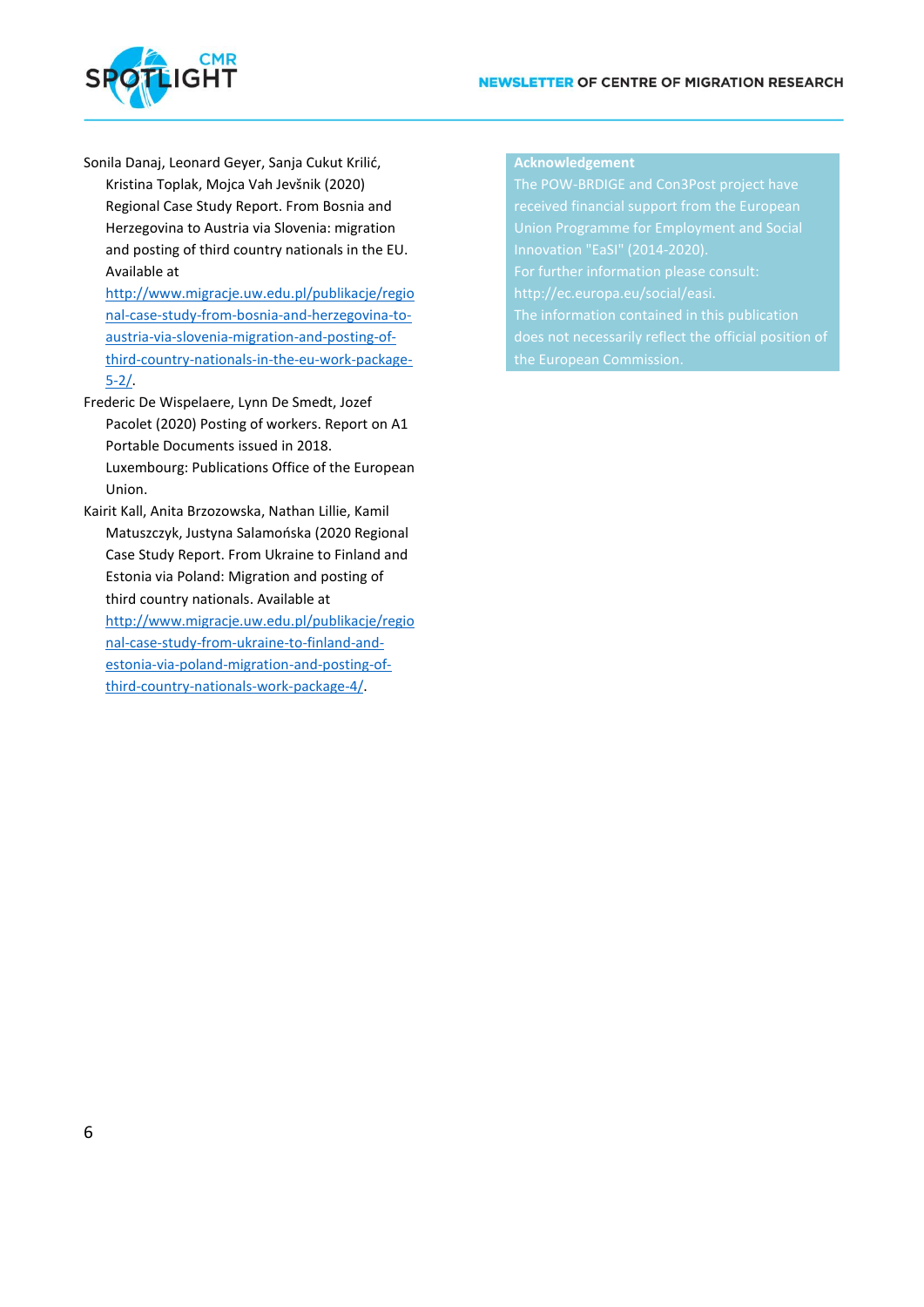

Sonila Danaj, Leonard Geyer, Sanja Cukut Krilić,

Kristina Toplak, Mojca Vah Jevšnik (2020) Regional Case Study Report. From Bosnia and Herzegovina to Austria via Slovenia: migration and posting of third country nationals in the EU. Available at

[http://www.migracje.uw.edu.pl/publikacje/regio](http://www.migracje.uw.edu.pl/publikacje/regional-case-study-from-bosnia-and-herzegovina-to-austria-via-slovenia-migration-and-posting-of-third-country-nationals-in-the-eu-work-package-5-2/) [nal-case-study-from-bosnia-and-herzegovina-to](http://www.migracje.uw.edu.pl/publikacje/regional-case-study-from-bosnia-and-herzegovina-to-austria-via-slovenia-migration-and-posting-of-third-country-nationals-in-the-eu-work-package-5-2/)[austria-via-slovenia-migration-and-posting-of](http://www.migracje.uw.edu.pl/publikacje/regional-case-study-from-bosnia-and-herzegovina-to-austria-via-slovenia-migration-and-posting-of-third-country-nationals-in-the-eu-work-package-5-2/)[third-country-nationals-in-the-eu-work-package-](http://www.migracje.uw.edu.pl/publikacje/regional-case-study-from-bosnia-and-herzegovina-to-austria-via-slovenia-migration-and-posting-of-third-country-nationals-in-the-eu-work-package-5-2/) $5 - 2/$ .

Frederic De Wispelaere, Lynn De Smedt, Jozef Pacolet (2020) Posting of workers. Report on A1 Portable Documents issued in 2018. Luxembourg: Publications Office of the European Union.

Kairit Kall, Anita Brzozowska, Nathan Lillie, Kamil Matuszczyk, Justyna Salamońska (2020 Regional Case Study Report. From Ukraine to Finland and Estonia via Poland: Migration and posting of third country nationals. Available at [http://www.migracje.uw.edu.pl/publikacje/regio](http://www.migracje.uw.edu.pl/publikacje/regional-case-study-from-ukraine-to-finland-and-estonia-via-poland-migration-and-posting-of-third-country-nationals-work-package-4/) [nal-case-study-from-ukraine-to-finland-and](http://www.migracje.uw.edu.pl/publikacje/regional-case-study-from-ukraine-to-finland-and-estonia-via-poland-migration-and-posting-of-third-country-nationals-work-package-4/)[estonia-via-poland-migration-and-posting-of](http://www.migracje.uw.edu.pl/publikacje/regional-case-study-from-ukraine-to-finland-and-estonia-via-poland-migration-and-posting-of-third-country-nationals-work-package-4/)[third-country-nationals-work-package-4/.](http://www.migracje.uw.edu.pl/publikacje/regional-case-study-from-ukraine-to-finland-and-estonia-via-poland-migration-and-posting-of-third-country-nationals-work-package-4/)

## **Acknowledgement**